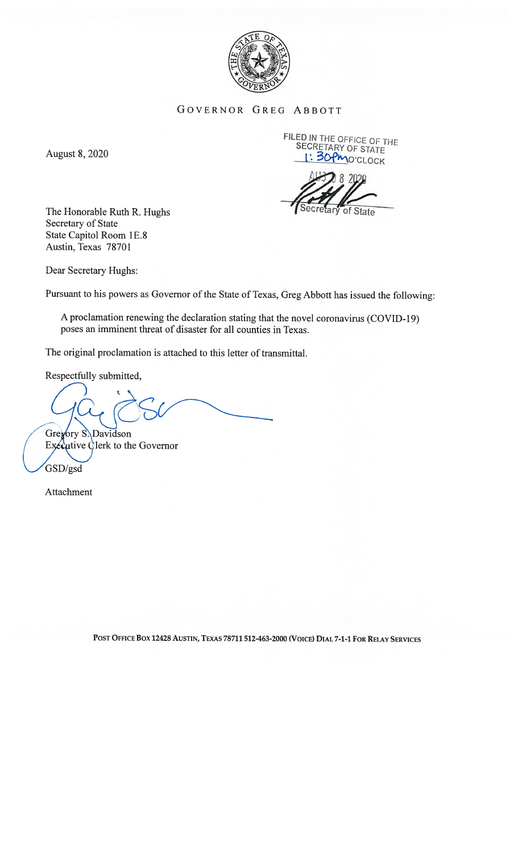

## GOVERNOR GREG ABBOTT

FILED IN THE OFFICE OF THE<br>SECRETARY OF STATE<br>I' 30Pm of the secret 1: 30 PMO'CLOCK

The Honorable Ruth R. Hughs (Secretary of State) Secretary of State State Capitol Room 1E.8 Austin, Texas 78701

Dear Secretary Hughs:

Pursuant to his powers as Governor of the State of Texas, Greg Abbott has issued the following:

A proclamation renewing the declaration stating that the novel coronavirus (COVID-19) poses an imminent threat of disaster for all counties in Texas.

The original proclamation is attached to this letter of transmittal.

Respectfully submitted,

Gregory S. Davidson Executive Clerk to the Governor

GSD/gsd

Attachment

POST OFFICE Box 1242\$ AUSTIN, TEXAS 78711 512-463-2000 (VoICE) DIAI 7-1-1 FoR RELAY SERVICES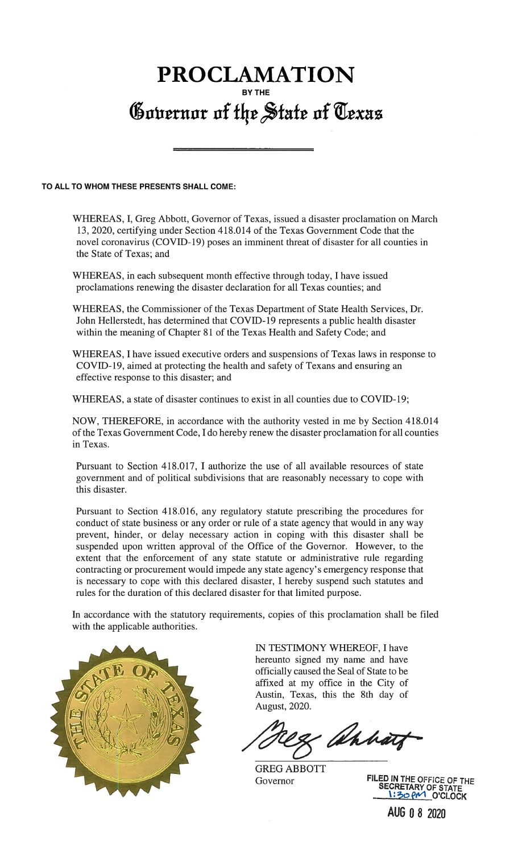## PROCLAMATION BY THE Governor of the State of Texas

## TO ALL TO WHOM THESE PRESENTS SHALL COME:

WHEREAS, I, Greg Abbott, Governor of Texas, issued a disaster proclamation on March 13, 2020, certifying under Section 4 18.014 of the Texas Government Code that the novel coronavirus (COVID-19) poses an imminent threat of disaster for all counties in the State of Texas; and

WHEREAS, in each subsequent month effective through today, I have issued proclamations renewing the disaster declaration for all Texas counties; and

WHEREAS, the Commissioner of the Texas Department of State Health Services, Dr. John Hellerstedt, has determined that COV1D-19 represents a public health disaster within the meaning of Chapter 81 of the Texas Health and Safety Code; and

WHEREAS, I have issued executive orders and suspensions of Texas laws in response to COVJD- 19, aimed at protecting the health and safety of Texans and ensuring an effective response to this disaster; and

WHEREAS, a state of disaster continues to exist in all counties due to COVD-19;

NOW, THEREFORE, in accordance with the authority vested in me by Section 418.014 of the Texas Government Code, I do hereby renew the disaster proclamation for all counties in Texas.

Pursuant to Section 418.017, I authorize the use of all available resources of state government and of political subdivisions that are reasonably necessary to cope with this disaster.

Pursuant to Section 418.016, any regulatory statute prescribing the procedures for conduct of state business or any order or rule of a state agency that would in any way prevent, hinder, or delay necessary action in coping with this disaster shall be suspended upon written approval of the Office of the Governor. However, to the extent that the enforcement of any state statute or administrative rule regarding contracting or procurement would impede any state agency's emergency response that is necessary to cope with this declared disaster, I hereby suspend such statutes and rules for the duration of this declared disaster for that limited purpose.

In accordance with the statutory requirements, copies of this proclamation shall be filed with the applicable authorities.



IN TESTIMONY WHEREOF, I have hereunto signed my name and have officially caused the Seal of State to be affixed at my office in the City of Austin, Texas, this the 8th day of August, 2020.

& ahhatz

GREG ABBOTT

Governor FILED IN THE OFFICE OF THE GOVERNOT STATE 1:30 PM O'CLOCK

AUG 0 8 2020